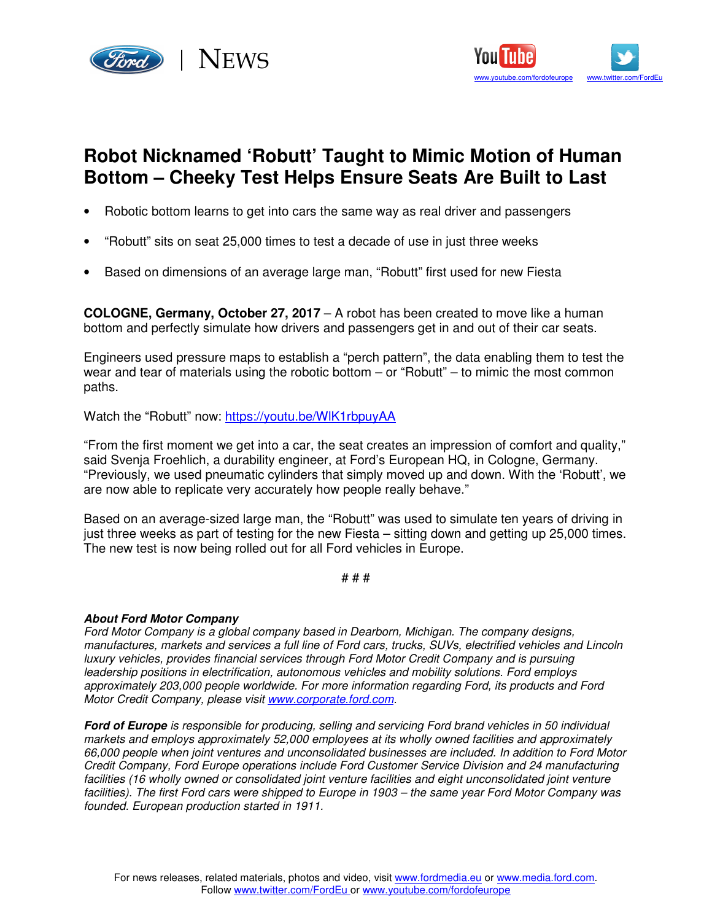



## **Robot Nicknamed 'Robutt' Taught to Mimic Motion of Human Bottom – Cheeky Test Helps Ensure Seats Are Built to Last**

- Robotic bottom learns to get into cars the same way as real driver and passengers
- "Robutt" sits on seat 25,000 times to test a decade of use in just three weeks
- Based on dimensions of an average large man, "Robutt" first used for new Fiesta

**COLOGNE, Germany, October 27, 2017** – A robot has been created to move like a human bottom and perfectly simulate how drivers and passengers get in and out of their car seats.

Engineers used pressure maps to establish a "perch pattern", the data enabling them to test the wear and tear of materials using the robotic bottom – or "Robutt" – to mimic the most common paths.

Watch the "Robutt" now: https://youtu.be/WlK1rbpuyAA

"From the first moment we get into a car, the seat creates an impression of comfort and quality," said Svenja Froehlich, a durability engineer, at Ford's European HQ, in Cologne, Germany. "Previously, we used pneumatic cylinders that simply moved up and down. With the 'Robutt', we are now able to replicate very accurately how people really behave."

Based on an average-sized large man, the "Robutt" was used to simulate ten years of driving in just three weeks as part of testing for the new Fiesta – sitting down and getting up 25,000 times. The new test is now being rolled out for all Ford vehicles in Europe.

# # #

## **About Ford Motor Company**

Ford Motor Company is a global company based in Dearborn, Michigan. The company designs, manufactures, markets and services a full line of Ford cars, trucks, SUVs, electrified vehicles and Lincoln luxury vehicles, provides financial services through Ford Motor Credit Company and is pursuing leadership positions in electrification, autonomous vehicles and mobility solutions. Ford employs approximately 203,000 people worldwide. For more information regarding Ford, its products and Ford Motor Credit Company, please visit www.corporate.ford.com.

**Ford of Europe** is responsible for producing, selling and servicing Ford brand vehicles in 50 individual markets and employs approximately 52,000 employees at its wholly owned facilities and approximately 66,000 people when joint ventures and unconsolidated businesses are included. In addition to Ford Motor Credit Company, Ford Europe operations include Ford Customer Service Division and 24 manufacturing facilities (16 wholly owned or consolidated joint venture facilities and eight unconsolidated joint venture facilities). The first Ford cars were shipped to Europe in 1903 – the same year Ford Motor Company was founded. European production started in 1911.